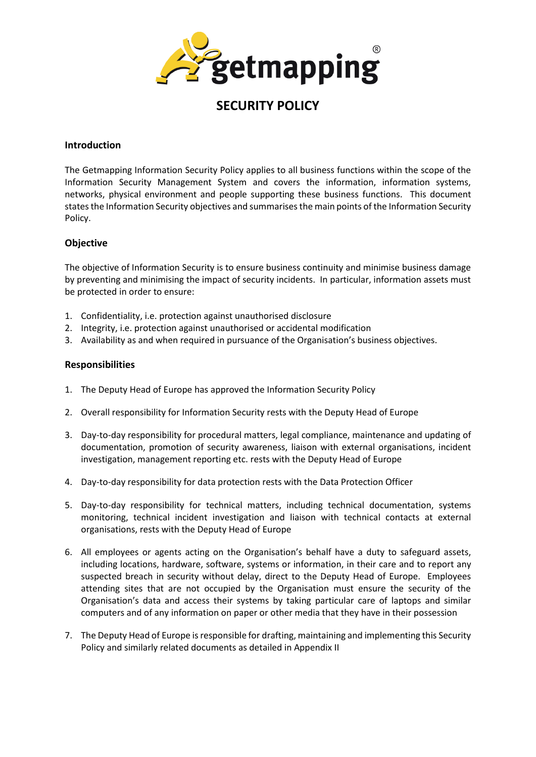

## **SECURITY POLICY**

## **Introduction**

The Getmapping Information Security Policy applies to all business functions within the scope of the Information Security Management System and covers the information, information systems, networks, physical environment and people supporting these business functions. This document states the Information Security objectives and summarises the main points of the Information Security Policy.

## **Objective**

The objective of Information Security is to ensure business continuity and minimise business damage by preventing and minimising the impact of security incidents. In particular, information assets must be protected in order to ensure:

- 1. Confidentiality, i.e. protection against unauthorised disclosure
- 2. Integrity, i.e. protection against unauthorised or accidental modification
- 3. Availability as and when required in pursuance of the Organisation's business objectives.

## **Responsibilities**

- 1. The Deputy Head of Europe has approved the Information Security Policy
- 2. Overall responsibility for Information Security rests with the Deputy Head of Europe
- 3. Day-to-day responsibility for procedural matters, legal compliance, maintenance and updating of documentation, promotion of security awareness, liaison with external organisations, incident investigation, management reporting etc. rests with the Deputy Head of Europe
- 4. Day-to-day responsibility for data protection rests with the Data Protection Officer
- 5. Day-to-day responsibility for technical matters, including technical documentation, systems monitoring, technical incident investigation and liaison with technical contacts at external organisations, rests with the Deputy Head of Europe
- 6. All employees or agents acting on the Organisation's behalf have a duty to safeguard assets, including locations, hardware, software, systems or information, in their care and to report any suspected breach in security without delay, direct to the Deputy Head of Europe. Employees attending sites that are not occupied by the Organisation must ensure the security of the Organisation's data and access their systems by taking particular care of laptops and similar computers and of any information on paper or other media that they have in their possession
- 7. The Deputy Head of Europe is responsible for drafting, maintaining and implementing this Security Policy and similarly related documents as detailed in Appendix II